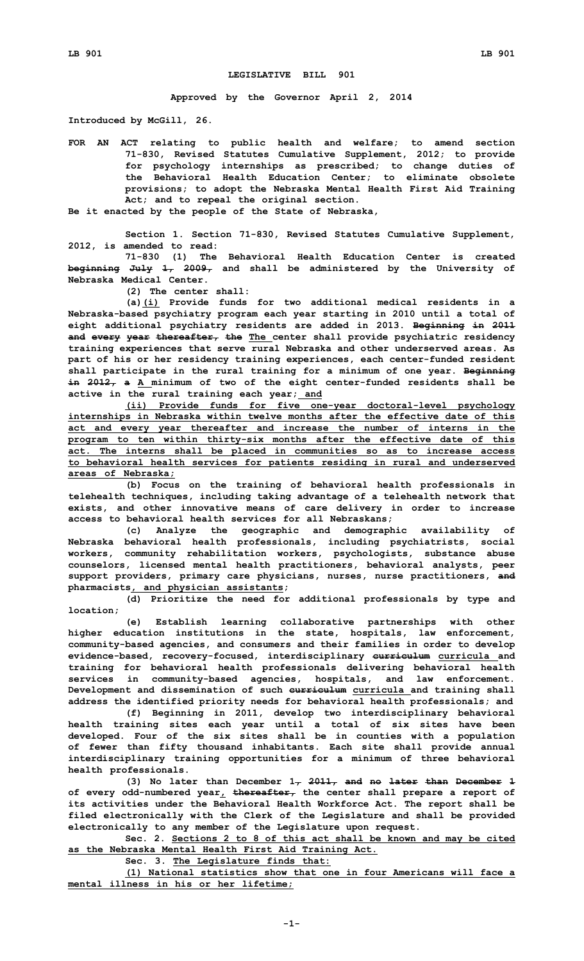## **LEGISLATIVE BILL 901**

**Approved by the Governor April 2, 2014**

**Introduced by McGill, 26.**

**FOR AN ACT relating to public health and welfare; to amend section 71-830, Revised Statutes Cumulative Supplement, 2012; to provide for psychology internships as prescribed; to change duties of the Behavioral Health Education Center; to eliminate obsolete provisions; to adopt the Nebraska Mental Health First Aid Training Act; and to repeal the original section.**

**Be it enacted by the people of the State of Nebraska,**

**Section 1. Section 71-830, Revised Statutes Cumulative Supplement, 2012, is amended to read:**

**71-830 (1) The Behavioral Health Education Center is created beginning July 1, 2009, and shall be administered by the University of Nebraska Medical Center.**

**(2) The center shall:**

**(a)(i) Provide funds for two additional medical residents in <sup>a</sup> Nebraska-based psychiatry program each year starting in 2010 until <sup>a</sup> total of eight additional psychiatry residents are added in 2013. Beginning in 2011 and every year thereafter, the The center shall provide psychiatric residency training experiences that serve rural Nebraska and other underserved areas. As part of his or her residency training experiences, each center-funded resident shall participate in the rural training for <sup>a</sup> minimum of one year. Beginning in 2012, <sup>a</sup> <sup>A</sup> minimum of two of the eight center-funded residents shall be active in the rural training each year; and**

**(ii) Provide funds for five one-year doctoral-level psychology internships in Nebraska within twelve months after the effective date of this act and every year thereafter and increase the number of interns in the program to ten within thirty-six months after the effective date of this act. The interns shall be placed in communities so as to increase access to behavioral health services for patients residing in rural and underserved areas of Nebraska;**

**(b) Focus on the training of behavioral health professionals in telehealth techniques, including taking advantage of <sup>a</sup> telehealth network that exists, and other innovative means of care delivery in order to increase access to behavioral health services for all Nebraskans;**

**(c) Analyze the geographic and demographic availability of Nebraska behavioral health professionals, including psychiatrists, social workers, community rehabilitation workers, psychologists, substance abuse counselors, licensed mental health practitioners, behavioral analysts, peer support providers, primary care physicians, nurses, nurse practitioners, and pharmacists, and physician assistants;**

**(d) Prioritize the need for additional professionals by type and location;**

**(e) Establish learning collaborative partnerships with other higher education institutions in the state, hospitals, law enforcement, community-based agencies, and consumers and their families in order to develop evidence-based, recovery-focused, interdisciplinary curriculum curricula and training for behavioral health professionals delivering behavioral health services in community-based agencies, hospitals, and law enforcement. Development and dissemination of such curriculum curricula and training shall address the identified priority needs for behavioral health professionals; and**

**(f) Beginning in 2011, develop two interdisciplinary behavioral health training sites each year until <sup>a</sup> total of six sites have been developed. Four of the six sites shall be in counties with <sup>a</sup> population of fewer than fifty thousand inhabitants. Each site shall provide annual interdisciplinary training opportunities for <sup>a</sup> minimum of three behavioral health professionals.**

**(3) No later than December 1, 2011, and no later than December 1 of every odd-numbered year, thereafter, the center shall prepare <sup>a</sup> report of its activities under the Behavioral Health Workforce Act. The report shall be filed electronically with the Clerk of the Legislature and shall be provided electronically to any member of the Legislature upon request.**

**Sec. 2. Sections 2 to 8 of this act shall be known and may be cited as the Nebraska Mental Health First Aid Training Act.**

**Sec. 3. The Legislature finds that:**

**(1) National statistics show that one in four Americans will face <sup>a</sup> mental illness in his or her lifetime;**